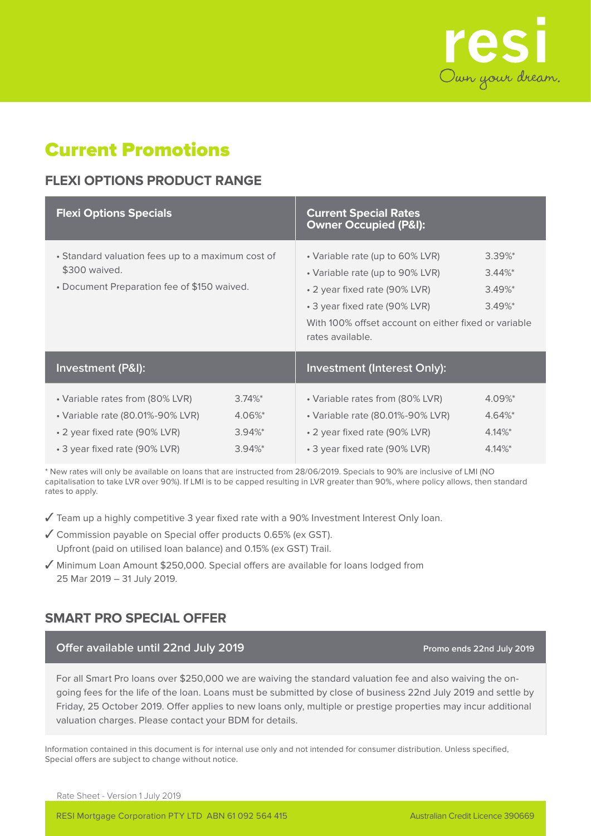

# Current Promotions

## **FLEXI OPTIONS PRODUCT RANGE**

| <b>Flexi Options Specials</b>                                                                                                         |                                                  | <b>Current Special Rates</b><br><b>Owner Occupied (P&amp;I):</b>                                                                                                                                                                                                                               |                                              |  |  |
|---------------------------------------------------------------------------------------------------------------------------------------|--------------------------------------------------|------------------------------------------------------------------------------------------------------------------------------------------------------------------------------------------------------------------------------------------------------------------------------------------------|----------------------------------------------|--|--|
| • Standard valuation fees up to a maximum cost of<br>\$300 waived.<br>• Document Preparation fee of \$150 waived.                     |                                                  | $3.39\%$ *<br>• Variable rate (up to 60% LVR)<br>• Variable rate (up to 90% LVR)<br>$3.44\%$ *<br>• 2 year fixed rate (90% LVR)<br>$3.49\%$ <sup>*</sup><br>• 3 year fixed rate (90% LVR)<br>$3.49\%$ <sup>*</sup><br>With 100% offset account on either fixed or variable<br>rates available. |                                              |  |  |
| <b>Investment (P&amp;I):</b>                                                                                                          |                                                  | <b>Investment (Interest Only):</b>                                                                                                                                                                                                                                                             |                                              |  |  |
| • Variable rates from (80% LVR)<br>• Variable rate (80.01%-90% LVR)<br>• 2 year fixed rate (90% LVR)<br>• 3 year fixed rate (90% LVR) | $3.74\%$ *<br>4.06%*<br>$3.94\%$ *<br>$3.94\%$ * | • Variable rates from (80% LVR)<br>• Variable rate (80.01%-90% LVR)<br>• 2 year fixed rate (90% LVR)<br>• 3 year fixed rate (90% LVR)                                                                                                                                                          | 4.09%*<br>4.64%*<br>$4.14\%$ *<br>$4.14\%$ * |  |  |

\* New rates will only be available on loans that are instructed from 28/06/2019. Specials to 90% are inclusive of LMI (NO capitalisation to take LVR over 90%). If LMI is to be capped resulting in LVR greater than 90%, where policy allows, then standard rates to apply.

- ✓ Team up a highly competitive 3 year fixed rate with a 90% Investment Interest Only loan.
- ✓ Commission payable on Special offer products 0.65% (ex GST). Upfront (paid on utilised loan balance) and 0.15% (ex GST) Trail.
- ✓ Minimum Loan Amount \$250,000. Special offers are available for loans lodged from 25 Mar 2019 – 31 July 2019.

## **SMART PRO SPECIAL OFFER**

#### **Offer available until 22nd July 2019 Promo ends 22nd July 2019 Promo ends 22nd July 2019**

For all Smart Pro loans over \$250,000 we are waiving the standard valuation fee and also waiving the ongoing fees for the life of the loan. Loans must be submitted by close of business 22nd July 2019 and settle by Friday, 25 October 2019. Offer applies to new loans only, multiple or prestige properties may incur additional valuation charges. Please contact your BDM for details.

Information contained in this document is for internal use only and not intended for consumer distribution. Unless specified, Special offers are subject to change without notice.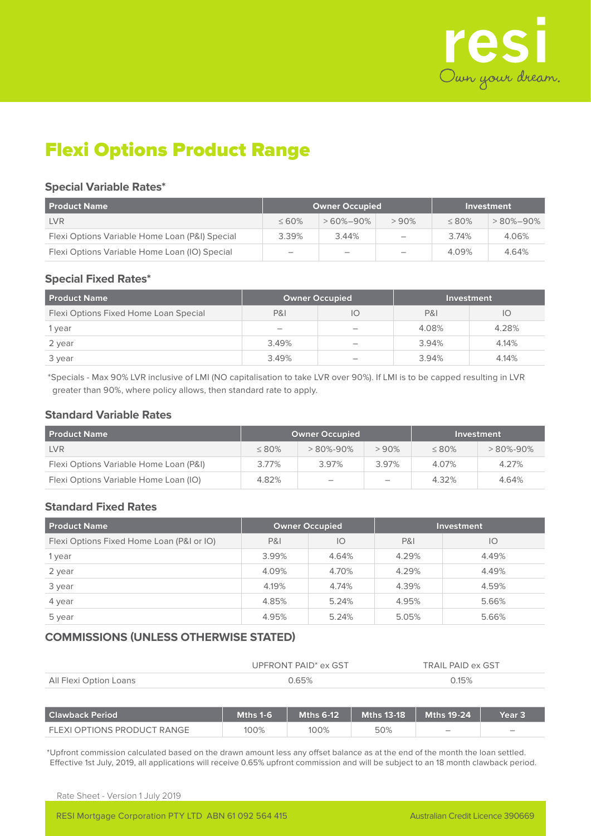

# Flexi Options Product Range

#### **Special Variable Rates\***

| <b>Product Name</b>                            | <b>Owner Occupied</b>    |                   |                          | Investment |                |  |
|------------------------------------------------|--------------------------|-------------------|--------------------------|------------|----------------|--|
| <b>LVR</b>                                     | $\leq 60\%$              | $>60\% - 90\%$    | >90%                     | $< 80\%$   | $>80\% - 90\%$ |  |
| Flexi Options Variable Home Loan (P&I) Special | 3.39%                    | 3.44%             | $\overline{\phantom{a}}$ | 3.74%      | 4.06%          |  |
| Flexi Options Variable Home Loan (IO) Special  | $\overline{\phantom{0}}$ | $\hspace{0.05cm}$ | $\overline{\phantom{0}}$ | 4.09%      | 4.64%          |  |

#### **Special Fixed Rates\***

| <b>Product Name</b>                   | <b>Owner Occupied</b> |                   | Investment     |       |  |
|---------------------------------------|-----------------------|-------------------|----------------|-------|--|
| Flexi Options Fixed Home Loan Special | P&I                   | IO                | <b>P&amp;I</b> | IО    |  |
| 1 year                                |                       | $\qquad \qquad -$ | 4.08%          | 4.28% |  |
| 2 year                                | 3.49%                 |                   | 3.94%          | 4.14% |  |
| 3 year                                | 3.49%                 |                   | 3.94%          | 4.14% |  |

\*Specials - Max 90% LVR inclusive of LMI (NO capitalisation to take LVR over 90%). If LMI is to be capped resulting in LVR greater than 90%, where policy allows, then standard rate to apply.

#### **Standard Variable Rates**

| <b>Product Name</b>                    | <b>Owner Occupied</b> |                          |                          | Investment  |                |  |
|----------------------------------------|-----------------------|--------------------------|--------------------------|-------------|----------------|--|
| <b>LVR</b>                             | $\leq 80\%$           | > 80%-90%                | > 90%                    | $\leq 80\%$ | $>80\% - 90\%$ |  |
| Flexi Options Variable Home Loan (P&I) | 3.77%                 | 3.97%                    | 3.97%                    | 4.07%       | 4.27%          |  |
| Flexi Options Variable Home Loan (IO)  | 4.82%                 | $\overline{\phantom{a}}$ | $\overline{\phantom{a}}$ | 4.32%       | 4.64%          |  |

## **Standard Fixed Rates**

| <b>Product Name</b>                       | <b>Owner Occupied</b> |       | <b>Investment</b> |       |  |
|-------------------------------------------|-----------------------|-------|-------------------|-------|--|
| Flexi Options Fixed Home Loan (P&I or IO) | <b>P&amp;I</b>        | IO    | <b>P&amp;I</b>    | IО    |  |
| 1 year                                    | 3.99%                 | 4.64% | 4.29%             | 4.49% |  |
| 2 year                                    | 4.09%                 | 4.70% | 4.29%             | 4.49% |  |
| 3 year                                    | 4.19%                 | 4.74% | 4.39%             | 4.59% |  |
| 4 year                                    | 4.85%                 | 5.24% | 4.95%             | 5.66% |  |
| 5 year                                    | 4.95%                 | 5.24% | 5.05%             | 5.66% |  |

## **COMMISSIONS (UNLESS OTHERWISE STATED)**

|                        | UPFRONT PAID <sup>*</sup> ex GST | TRAIL PAID ex GST |
|------------------------|----------------------------------|-------------------|
| All Flexi Option Loans | ገ 65%                            | 0.15%             |

| <b>Clawback Period</b>      | Mths 1-6 | Mths 6-12 $^{\circ}$ | $Mths$ 13-18 | Mths 19-24 \             | Year 3 |
|-----------------------------|----------|----------------------|--------------|--------------------------|--------|
| FLEXI OPTIONS PRODUCT RANGE | 100%     | 100%                 | 50%          | $\overline{\phantom{a}}$ |        |

\*Upfront commission calculated based on the drawn amount less any offset balance as at the end of the month the loan settled. Effective 1st July, 2019, all applications will receive 0.65% upfront commission and will be subject to an 18 month clawback period.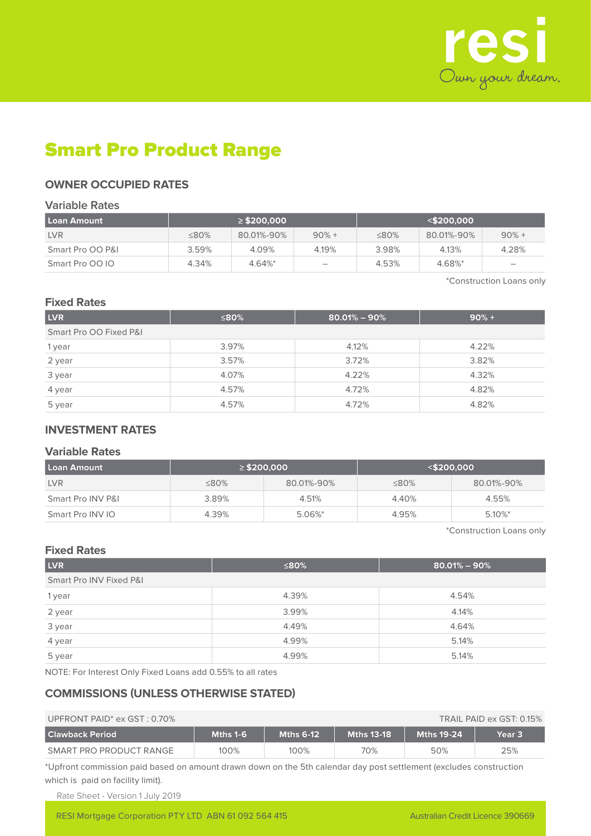

# Smart Pro Product Range

### **OWNER OCCUPIED RATES**

#### **Variable Rates**

| l Loan Amount    | $\geq$ \$200.000 |            |         |             | $<$ \$200.000 |         |
|------------------|------------------|------------|---------|-------------|---------------|---------|
| <b>LVR</b>       | ≤80%             | 80.01%-90% | $90% +$ | $\leq 80\%$ | 80.01%-90%    | $90% +$ |
| Smart Pro OO P&I | 3.59%            | 4.09%      | 4.19%   | 3.98%       | 4.13%         | 4.28%   |
| Smart Pro 00 IO  | 4.34%            | $4.64\%$ * |         | 4.53%       | 4.68%*        |         |

\*Construction Loans only

#### **Fixed Rates**

| <b>LVR</b>             | ≤80%  | $80.01\% - 90\%$ | $90% +$ |
|------------------------|-------|------------------|---------|
| Smart Pro OO Fixed P&I |       |                  |         |
| 1 year                 | 3.97% | 4.12%            | 4.22%   |
| 2 year                 | 3.57% | 3.72%            | 3.82%   |
| 3 year                 | 4.07% | 4.22%            | 4.32%   |
| 4 year                 | 4.57% | 4.72%            | 4.82%   |
| 5 year                 | 4.57% | 4.72%            | 4.82%   |

### **INVESTMENT RATES**

#### **Variable Rates**

| Loan Amount       |             | $\geq$ \$200.000 |       | $<$ \$200.000 |
|-------------------|-------------|------------------|-------|---------------|
| <b>LVR</b>        | $\leq 80\%$ | 80.01%-90%       | ≤80%  | 80.01%-90%    |
| Smart Pro INV P&L | 3.89%       | 4.51%            | 4.40% | 4.55%         |
| Smart Pro INV IO  | 4.39%       | $5.06\%$ *       | 4.95% | $5.10\%$ *    |

\*Construction Loans only

### **Fixed Rates**

| <b>LVR</b>              | ≤80%  | $80.01\% - 90\%$ |  |  |  |  |
|-------------------------|-------|------------------|--|--|--|--|
| Smart Pro INV Fixed P&I |       |                  |  |  |  |  |
| 1 year                  | 4.39% | 4.54%            |  |  |  |  |
| 2 year                  | 3.99% | 4.14%            |  |  |  |  |
| 3 year                  | 4.49% | 4.64%            |  |  |  |  |
| 4 year                  | 4.99% | 5.14%            |  |  |  |  |
| 5 year                  | 4.99% | 5.14%            |  |  |  |  |

NOTE: For Interest Only Fixed Loans add 0.55% to all rates

### **COMMISSIONS (UNLESS OTHERWISE STATED)**

| UPFRONT PAID <sup>*</sup> ex $GST: 0.70\%$<br>TRAIL PAID ex GST: 0.15% |          |                  |                   |            |        |
|------------------------------------------------------------------------|----------|------------------|-------------------|------------|--------|
| <b>Clawback Period</b>                                                 | Mths 1-6 | <b>Mths 6-12</b> | <b>Mths 13-18</b> | Mths 19-24 | Year 3 |
| SMART PRO PRODUCT RANGE                                                | 100%     | 100%             | 70%               | 50%        | 25%    |

\*Upfront commission paid based on amount drawn down on the 5th calendar day post settlement (excludes construction which is paid on facility limit).

Rate Sheet - Version 1 July 2019

RESI Mortgage Corporation PTY LTD ABN 61 092 564 415 Australian Credit Licence 390669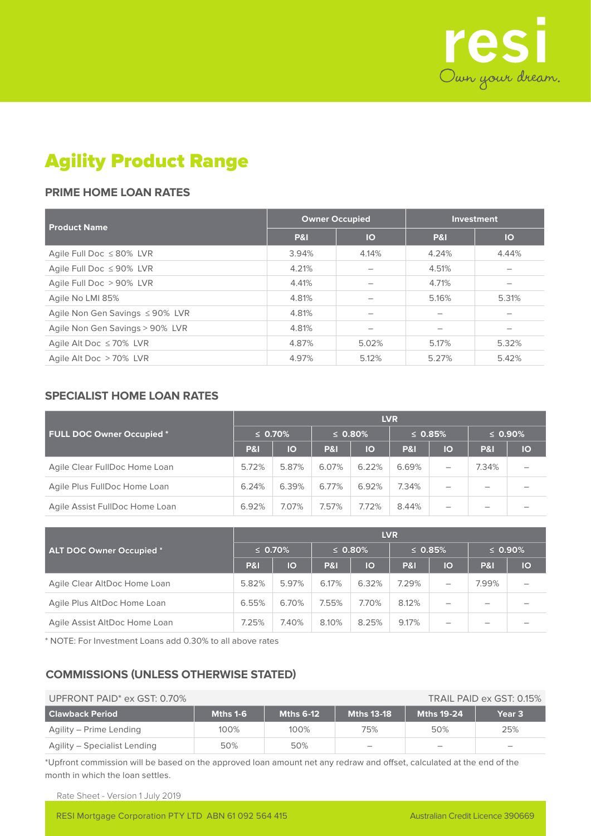

# Agility Product Range

## **PRIME HOME LOAN RATES**

| <b>Product Name</b>             | <b>Owner Occupied</b> |           | Investment     |       |  |
|---------------------------------|-----------------------|-----------|----------------|-------|--|
|                                 | <b>P&amp;I</b>        | <b>IO</b> | <b>P&amp;I</b> | IO    |  |
| Agile Full Doc ≤80% LVR         | 3.94%                 | 4.14%     | 4.24%          | 4.44% |  |
| Agile Full Doc ≤ 90% LVR        | 4.21%                 |           | 4.51%          |       |  |
| Agile Full Doc > 90% LVR        | 4.41%                 |           | 4.71%          |       |  |
| Agile No LMI 85%                | 4.81%                 |           | 5.16%          | 5.31% |  |
| Agile Non Gen Savings ≤90% LVR  | 4.81%                 |           |                |       |  |
| Agile Non Gen Savings > 90% LVR | 4.81%                 |           |                |       |  |
| Agile Alt Doc $\leq 70\%$ LVR   | 4.87%                 | 5.02%     | 5.17%          | 5.32% |  |
| Agile Alt Doc > 70% LVR         | 4.97%                 | 5.12%     | 5.27%          | 5.42% |  |

### **SPECIALIST HOME LOAN RATES**

|                                | <b>LVR</b>     |       |                |       |                |    |                |    |  |  |
|--------------------------------|----------------|-------|----------------|-------|----------------|----|----------------|----|--|--|
| FULL DOC Owner Occupied *      | $\leq 0.70\%$  |       | $\leq$ 0.80%   |       | $\leq$ 0.85%   |    | $\leq 0.90\%$  |    |  |  |
|                                | <b>P&amp;I</b> | IO    | <b>P&amp;I</b> | IO    | <b>P&amp;I</b> | IO | <b>P&amp;I</b> | IO |  |  |
| Agile Clear FullDoc Home Loan  | 5.72%          | 5.87% | 6.07%          | 6.22% | 6.69%          | —  | 7.34%          |    |  |  |
| Agile Plus FullDoc Home Loan   | 6.24%          | 6.39% | 6.77%          | 6.92% | 7.34%          | -  |                |    |  |  |
| Agile Assist FullDoc Home Loan | 6.92%          | 7.07% | 7.57%          | 7.72% | 8.44%          |    |                |    |  |  |

|                                 | <b>LVR</b>     |           |                |       |                |    |                |    |  |  |
|---------------------------------|----------------|-----------|----------------|-------|----------------|----|----------------|----|--|--|
| <b>ALT DOC Owner Occupied *</b> | $\leq 0.70\%$  |           | $\leq 0.80\%$  |       | $\leq 0.85\%$  |    | $\leq 0.90\%$  |    |  |  |
|                                 | <b>P&amp;I</b> | <b>IO</b> | <b>P&amp;I</b> | lo    | <b>P&amp;I</b> | IO | <b>P&amp;I</b> | IO |  |  |
| Agile Clear AltDoc Home Loan    | 5.82%          | 5.97%     | 6.17%          | 6.32% | 7.29%          |    | 7.99%          |    |  |  |
| Agile Plus AltDoc Home Loan     | 6.55%          | 6.70%     | 7.55%          | 7.70% | 8.12%          |    |                |    |  |  |
| Agile Assist AltDoc Home Loan   | 7.25%          | 7.40%     | 8.10%          | 8.25% | 9.17%          | -  |                |    |  |  |

\* NOTE: For Investment Loans add 0.30% to all above rates

## **COMMISSIONS (UNLESS OTHERWISE STATED)**

| UPFRONT PAID <sup>*</sup> ex GST: 0.70%<br>TRAIL PAID ex GST: 0.15% |          |                  |                          |                          |                   |  |  |
|---------------------------------------------------------------------|----------|------------------|--------------------------|--------------------------|-------------------|--|--|
| <b>Clawback Period</b>                                              | Mths 1-6 | <b>Mths 6-12</b> | <b>Mths 13-18</b>        | <b>Mths 19-24</b>        | Year <sub>3</sub> |  |  |
| Agility – Prime Lending                                             | 100%     | 100%             | 75%                      | 50%                      | 25%               |  |  |
| Agility – Specialist Lending                                        | 50%      | 50%              | $\overline{\phantom{0}}$ | $\overline{\phantom{a}}$ | -                 |  |  |

\*Upfront commission will be based on the approved loan amount net any redraw and offset, calculated at the end of the month in which the loan settles.

Rate Sheet - Version 1 July 2019

RESI Mortgage Corporation PTY LTD ABN 61 092 564 415 Australian Credit Licence 390669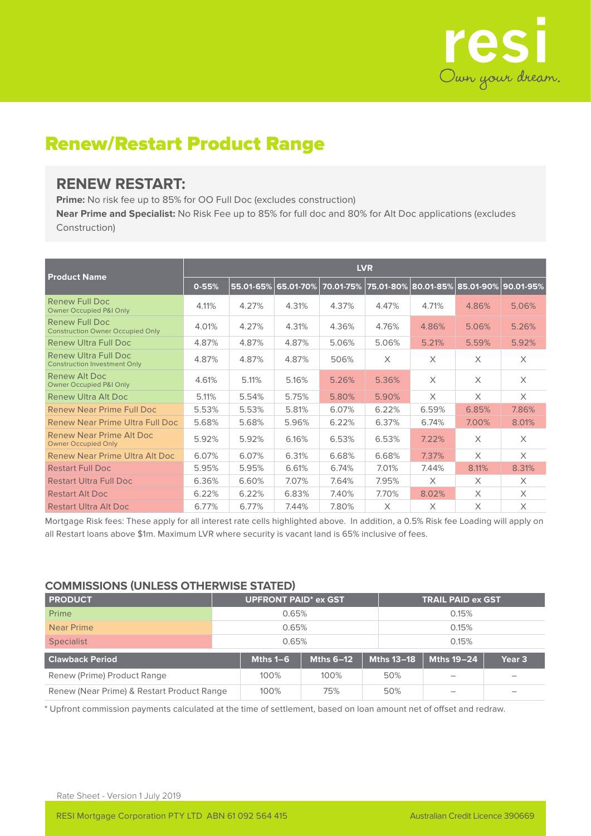

## Renew/Restart Product Range

## **RENEW RESTART:**

**Prime:** No risk fee up to 85% for OO Full Doc (excludes construction)

**Near Prime and Specialist:** No Risk Fee up to 85% for full doc and 80% for Alt Doc applications (excludes Construction)

|                                                                    | <b>LVR</b> |           |                |       |       |          |                                                           |          |  |  |
|--------------------------------------------------------------------|------------|-----------|----------------|-------|-------|----------|-----------------------------------------------------------|----------|--|--|
| <b>Product Name</b>                                                | $0 - 55%$  | 55.01-65% | $ 65.01-70\% $ |       |       |          | 70.01-75%   75.01-80%   80.01-85%   85.01-90%   90.01-95% |          |  |  |
| Renew Full Doc<br><b>Owner Occupied P&amp;I Only</b>               | 4.11%      | 4.27%     | 4.31%          | 4.37% | 4.47% | 4.71%    | 4.86%                                                     | 5.06%    |  |  |
| Renew Full Doc<br><b>Construction Owner Occupied Only</b>          | 4.01%      | 4.27%     | 4.31%          | 4.36% | 4.76% | 4.86%    | 5.06%                                                     | 5.26%    |  |  |
| Renew Ultra Full Doc                                               | 4.87%      | 4.87%     | 4.87%          | 5.06% | 5.06% | 5.21%    | 5.59%                                                     | 5.92%    |  |  |
| <b>Renew Ultra Full Doc</b><br><b>Construction Investment Only</b> | 4.87%      | 4.87%     | 4.87%          | 506%  | X     | $\times$ | X                                                         | $\times$ |  |  |
| Renew Alt Doc<br><b>Owner Occupied P&amp;I Only</b>                | 4.61%      | 5.11%     | 5.16%          | 5.26% | 5.36% | X        | X                                                         | $\times$ |  |  |
| Renew Ultra Alt Doc                                                | 5.11%      | 5.54%     | 5.75%          | 5.80% | 5.90% | $\times$ | X                                                         | X        |  |  |
| <b>Renew Near Prime Full Doc</b>                                   | 5.53%      | 5.53%     | 5.81%          | 6.07% | 6.22% | 6.59%    | 6.85%                                                     | 7.86%    |  |  |
| Renew Near Prime Ultra Full Doc                                    | 5.68%      | 5.68%     | 5.96%          | 6.22% | 6.37% | 6.74%    | 7.00%                                                     | 8.01%    |  |  |
| Renew Near Prime Alt Doc<br><b>Owner Occupied Only</b>             | 5.92%      | 5.92%     | 6.16%          | 6.53% | 6.53% | 7.22%    | X                                                         | $\times$ |  |  |
| Renew Near Prime Ultra Alt Doc                                     | 6.07%      | 6.07%     | 6.31%          | 6.68% | 6.68% | 7.37%    | $\times$                                                  | $\times$ |  |  |
| <b>Restart Full Doc</b>                                            | 5.95%      | 5.95%     | 6.61%          | 6.74% | 7.01% | 7.44%    | 8.11%                                                     | 8.31%    |  |  |
| <b>Restart Ultra Full Doc</b>                                      | 6.36%      | 6.60%     | 7.07%          | 7.64% | 7.95% | $\times$ | $\times$                                                  | $\times$ |  |  |
| <b>Restart Alt Doc</b>                                             | 6.22%      | 6.22%     | 6.83%          | 7.40% | 7.70% | 8.02%    | X                                                         | X        |  |  |
| <b>Restart Ultra Alt Doc</b>                                       | 6.77%      | 6.77%     | 7.44%          | 7.80% | X     | X        | $\times$                                                  | X        |  |  |

Mortgage Risk fees: These apply for all interest rate cells highlighted above. In addition, a 0.5% Risk fee Loading will apply on all Restart loans above \$1m. Maximum LVR where security is vacant land is 65% inclusive of fees.

### **COMMISSIONS (UNLESS OTHERWISE STATED)**

| <b>PRODUCT</b>                                     | <b>UPFRONT PAID* ex GST</b> |       |                  |                   | <b>TRAIL PAID ex GST</b> |                   |  |  |
|----------------------------------------------------|-----------------------------|-------|------------------|-------------------|--------------------------|-------------------|--|--|
| Prime                                              |                             | 0.65% |                  |                   | 0.15%                    |                   |  |  |
| Near Prime                                         | 0.65%                       |       |                  |                   | 0.15%                    |                   |  |  |
| <b>Specialist</b>                                  | 0.65%                       |       |                  |                   | 0.15%                    |                   |  |  |
| <b>Clawback Period</b>                             | Mths $1-6$                  |       | <b>Mths 6-12</b> | <b>Mths 13-18</b> | <b>Mths 19-24</b>        | Year <sub>3</sub> |  |  |
| Renew (Prime) Product Range                        | 100%                        |       | 100%             | 50%               |                          |                   |  |  |
| Renew (Near Prime) & Restart Product Range<br>100% |                             |       | 75%              | 50%               |                          |                   |  |  |

\* Upfront commission payments calculated at the time of settlement, based on loan amount net of offset and redraw.